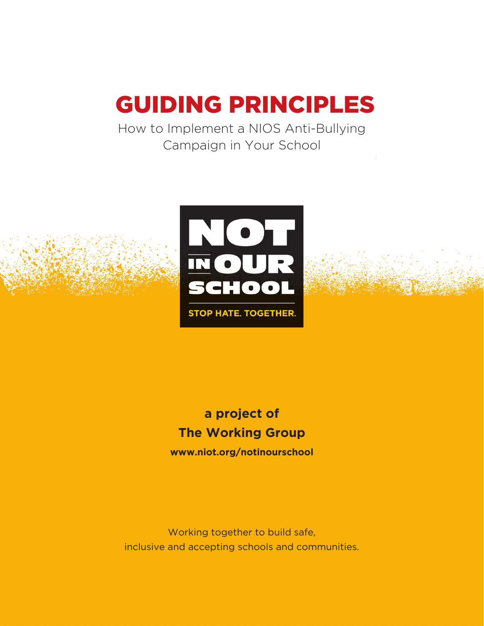# GUIDING PRINCIPLES

How to Implement a NIOS Anti-Bullying Campaign in Your School



# **a project of The Working Group www.niot.org/notinourschool**

Working together to build safe, inclusive and accepting schools and communities.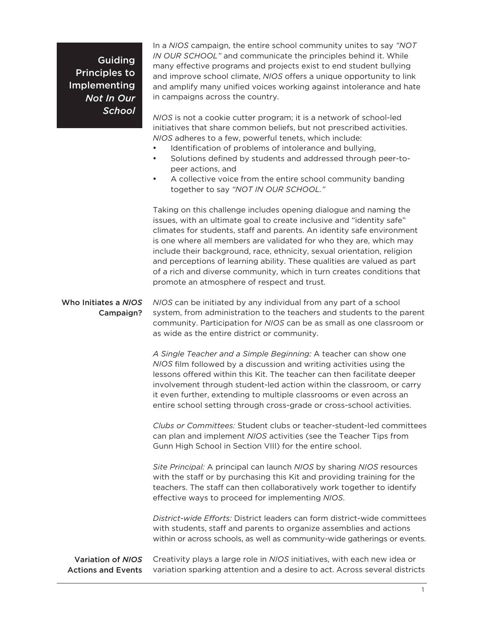Guiding Principles to Implementing *Not In Our School* In a *NIOS* campaign, the entire school community unites to say *"NOT IN OUR SCHOOL"* and communicate the principles behind it. While many effective programs and projects exist to end student bullying and improve school climate, *NIOS* offers a unique opportunity to link and amplify many unified voices working against intolerance and hate in campaigns across the country.

*NIOS* is not a cookie cutter program; it is a network of school-led initiatives that share common beliefs, but not prescribed activities. *NIOS* adheres to a few, powerful tenets, which include:

- Identification of problems of intolerance and bullying,
- Solutions defined by students and addressed through peer-topeer actions, and
- A collective voice from the entire school community banding together to say *"NOT IN OUR SCHOOL."*

Taking on this challenge includes opening dialogue and naming the issues, with an ultimate goal to create inclusive and "identity safe" climates for students, staff and parents. An identity safe environment is one where all members are validated for who they are, which may include their background, race, ethnicity, sexual orientation, religion and perceptions of learning ability. These qualities are valued as part of a rich and diverse community, which in turn creates conditions that promote an atmosphere of respect and trust.

### Who Initiates a *NIOS*  Campaign?

*NIOS* can be initiated by any individual from any part of a school system, from administration to the teachers and students to the parent community. Participation for *NIOS* can be as small as one classroom or as wide as the entire district or community.

*A Single Teacher and a Simple Beginning:* A teacher can show one *NIOS* film followed by a discussion and writing activities using the lessons offered within this Kit. The teacher can then facilitate deeper involvement through student-led action within the classroom, or carry it even further, extending to multiple classrooms or even across an entire school setting through cross-grade or cross-school activities.

Clubs or Committees: Student clubs or teacher-student-led committees can plan and implement *NIOS* activities (see the Teacher Tips from Gunn High School in Section VIII) for the entire school.

*Site Principal:* A principal can launch *NIOS* by sharing *NIOS* resources with the staff or by purchasing this Kit and providing training for the teachers. The staff can then collaboratively work together to identify effective ways to proceed for implementing *NIOS*.

*District-wide Efforts: District leaders can form district-wide committees* with students, staff and parents to organize assemblies and actions within or across schools, as well as community-wide gatherings or events.

Creativity plays a large role in *NIOS* initiatives, with each new idea or variation sparking attention and a desire to act. Across several districts Variation of *NIOS* Actions and Events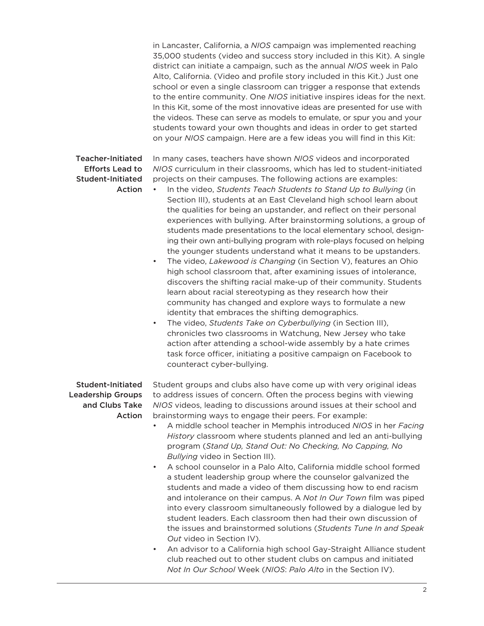in Lancaster, California, a *NIOS* campaign was implemented reaching 35,000 students (video and success story included in this Kit). A single district can initiate a campaign, such as the annual *NIOS* week in Palo Alto, California. (Video and profile story included in this Kit.) Just one school or even a single classroom can trigger a response that extends to the entire community. One *NIOS* initiative inspires ideas for the next. In this Kit, some of the most innovative ideas are presented for use with the videos. These can serve as models to emulate, or spur you and your students toward your own thoughts and ideas in order to get started on your *NIOS* campaign. Here are a few ideas you will find in this Kit:

#### Teacher-Initiated Efforts Lead to Student-Initiated Action

In many cases, teachers have shown *NIOS* videos and incorporated *NIOS* curriculum in their classrooms, which has led to student-initiated projects on their campuses. The following actions are examples:

- In the video, *Students Teach Students to Stand Up to Bullying* (in Section III), students at an East Cleveland high school learn about the qualities for being an upstander, and reflect on their personal experiences with bullying. After brainstorming solutions, a group of students made presentations to the local elementary school, designing their own anti-bullying program with role-plays focused on helping the younger students understand what it means to be upstanders.
- The video, *Lakewood is Changing* (in Section V), features an Ohio high school classroom that, after examining issues of intolerance, discovers the shifting racial make-up of their community. Students learn about racial stereotyping as they research how their community has changed and explore ways to formulate a new identity that embraces the shifting demographics.
- The video, *Students Take on Cyberbullying* (in Section III), chronicles two classrooms in Watchung, New Jersey who take action after attending a school-wide assembly by a hate crimes task force officer, initiating a positive campaign on Facebook to counteract cyber-bullying.

#### Student-Initiated Leadership Groups and Clubs Take Action

Student groups and clubs also have come up with very original ideas to address issues of concern. Often the process begins with viewing *NIOS* videos, leading to discussions around issues at their school and brainstorming ways to engage their peers. For example:

- K! A middle school teacher in Memphis introduced *NIOS* in her *Facing History* classroom where students planned and led an anti-bullying program (*Stand Up, Stand Out: No Checking, No Capping, No Bullying* video in Section III).
- A school counselor in a Palo Alto, California middle school formed a student leadership group where the counselor galvanized the students and made a video of them discussing how to end racism and intolerance on their campus. A *Not In Our Town* film was piped into every classroom simultaneously followed by a dialogue led by student leaders. Each classroom then had their own discussion of the issues and brainstormed solutions (*Students Tune In and Speak Out* video in Section IV).
- An advisor to a California high school Gay-Straight Alliance student club reached out to other student clubs on campus and initiated *Not In Our School* Week (*NIOS*: *Palo Alto* in the Section IV).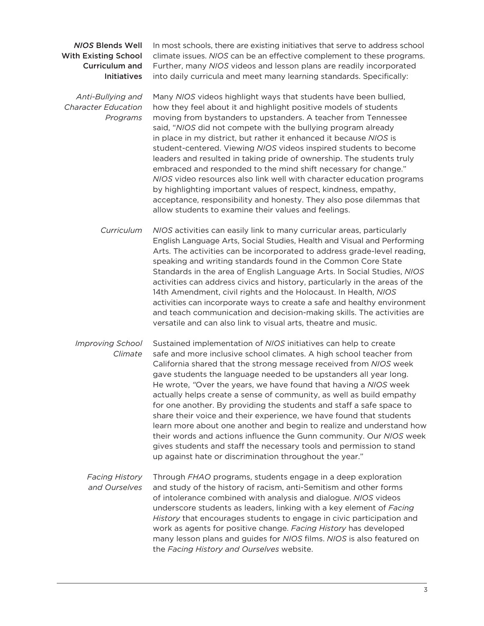#### *NIOS* Blends Well With Existing School Curriculum and Initiatives

*AntiBullying and Character Education Programs*

In most schools, there are existing initiatives that serve to address school climate issues. *NIOS* can be an effective complement to these programs. Further, many *NIOS* videos and lesson plans are readily incorporated into daily curricula and meet many learning standards. Specifically:

Many *NIOS* videos highlight ways that students have been bullied, how they feel about it and highlight positive models of students moving from bystanders to upstanders. A teacher from Tennessee said, "*NIOS* did not compete with the bullying program already in place in my district, but rather it enhanced it because *NIOS* is student-centered. Viewing *NIOS* videos inspired students to become leaders and resulted in taking pride of ownership. The students truly embraced and responded to the mind shift necessary for change." *NIOS* video resources also link well with character education programs by highlighting important values of respect, kindness, empathy, acceptance, responsibility and honesty. They also pose dilemmas that allow students to examine their values and feelings.

*NIOS* activities can easily link to many curricular areas, particularly English Language Arts, Social Studies, Health and Visual and Performing Arts. The activities can be incorporated to address grade-level reading, speaking and writing standards found in the Common Core State Standards in the area of English Language Arts. In Social Studies, *NIOS* activities can address civics and history, particularly in the areas of the 14th Amendment, civil rights and the Holocaust. In Health, *NIOS* activities can incorporate ways to create a safe and healthy environment and teach communication and decision-making skills. The activities are versatile and can also link to visual arts, theatre and music. *Curriculum*

Sustained implementation of *NIOS* initiatives can help to create safe and more inclusive school climates. A high school teacher from California shared that the strong message received from *NIOS* week gave students the language needed to be upstanders all year long. He wrote, *"*Over the years, we have found that having a *NIOS* week actually helps create a sense of community, as well as build empathy for one another. By providing the students and staff a safe space to share their voice and their experience, we have found that students learn more about one another and begin to realize and understand how their words and actions influence the Gunn community. Our *NIOS* week gives students and staff the necessary tools and permission to stand up against hate or discrimination throughout the year." *Improving School Climate*

#### Through *FHAO* programs, students engage in a deep exploration and study of the history of racism, anti-Semitism and other forms of intolerance combined with analysis and dialogue. *NIOS* videos underscore students as leaders, linking with a key element of *Facing History* that encourages students to engage in civic participation and work as agents for positive change. *Facing History* has developed many lesson plans and guides for NIOS films. NIOS is also featured on the *Facing History and Ourselves* website. *Facing History and Ourselves*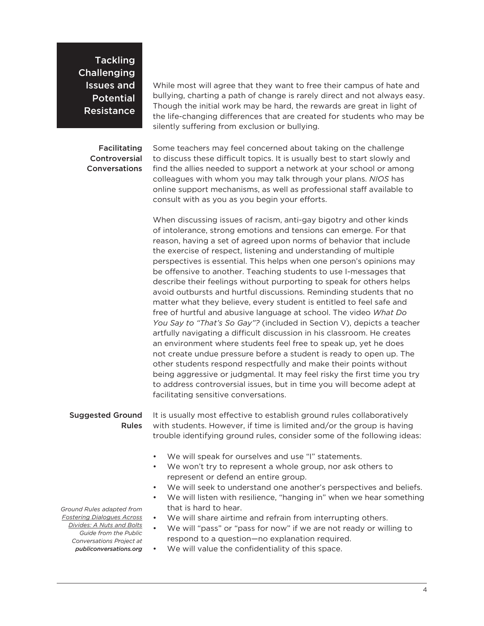**Tackling Challenging** Issues and Potential Resistance

#### Facilitating **Controversial Conversations**

While most will agree that they want to free their campus of hate and bullying, charting a path of change is rarely direct and not always easy. Though the initial work may be hard, the rewards are great in light of the life-changing differences that are created for students who may be silently suffering from exclusion or bullying.

Some teachers may feel concerned about taking on the challenge to discuss these difficult topics. It is usually best to start slowly and find the allies needed to support a network at your school or among colleagues with whom you may talk through your plans. *NIOS* has online support mechanisms, as well as professional staff available to consult with as you as you begin your efforts.

When discussing issues of racism, anti-gay bigotry and other kinds of intolerance, strong emotions and tensions can emerge. For that reason, having a set of agreed upon norms of behavior that include the exercise of respect, listening and understanding of multiple perspectives is essential. This helps when one person's opinions may be offensive to another. Teaching students to use I-messages that describe their feelings without purporting to speak for others helps avoid outbursts and hurtful discussions. Reminding students that no matter what they believe, every student is entitled to feel safe and free of hurtful and abusive language at school. The video *What Do You Say to "That's So Gay"?* (included in Section V), depicts a teacher artfully navigating a difficult discussion in his classroom. He creates an environment where students feel free to speak up, yet he does not create undue pressure before a student is ready to open up. The other students respond respectfully and make their points without being aggressive or judgmental. It may feel risky the first time you try to address controversial issues, but in time you will become adept at facilitating sensitive conversations.

#### Suggested Ground Rules

It is usually most effective to establish ground rules collaboratively with students. However, if time is limited and/or the group is having trouble identifying ground rules, consider some of the following ideas:

- We will speak for ourselves and use "I" statements.
- We won't try to represent a whole group, nor ask others to represent or defend an entire group.
- We will seek to understand one another's perspectives and beliefs.
- We will listen with resilience, "hanging in" when we hear something that is hard to hear.
- We will share airtime and refrain from interrupting others.
- We will "pass" or "pass for now" if we are not ready or willing to respond to a question—no explanation required.
- We will value the confidentiality of this space.

*Ground Rules adapted from Fostering Dialogues Across Divides: A Nuts and Bolts Guide from the Public Conversations Project at*

 $public on version is.$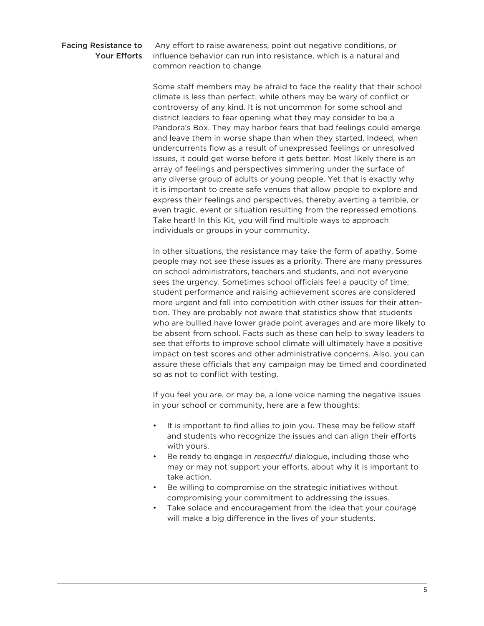#### Facing Resistance to Your Efforts

Any effort to raise awareness, point out negative conditions, or influence behavior can run into resistance, which is a natural and common reaction to change.

Some staff members may be afraid to face the reality that their school climate is less than perfect, while others may be wary of conflict or controversy of any kind. It is not uncommon for some school and district leaders to fear opening what they may consider to be a Pandora's Box. They may harbor fears that bad feelings could emerge and leave them in worse shape than when they started. Indeed, when undercurrents flow as a result of unexpressed feelings or unresolved issues, it could get worse before it gets better. Most likely there is an array of feelings and perspectives simmering under the surface of any diverse group of adults or young people. Yet that is exactly why it is important to create safe venues that allow people to explore and express their feelings and perspectives, thereby averting a terrible, or even tragic, event or situation resulting from the repressed emotions. Take heart! In this Kit, you will find multiple ways to approach individuals or groups in your community.

In other situations, the resistance may take the form of apathy. Some people may not see these issues as a priority. There are many pressures on school administrators, teachers and students, and not everyone sees the urgency. Sometimes school officials feel a paucity of time; student performance and raising achievement scores are considered more urgent and fall into competition with other issues for their attention. They are probably not aware that statistics show that students who are bullied have lower grade point averages and are more likely to be absent from school. Facts such as these can help to sway leaders to see that efforts to improve school climate will ultimately have a positive impact on test scores and other administrative concerns. Also, you can assure these officials that any campaign may be timed and coordinated so as not to conflict with testing.

If you feel you are, or may be, a lone voice naming the negative issues in your school or community, here are a few thoughts:

- It is important to find allies to join you. These may be fellow staff and students who recognize the issues and can align their efforts with yours.
- Be ready to engage in *respectful* dialogue, including those who may or may not support your efforts, about why it is important to take action.
- Be willing to compromise on the strategic initiatives without compromising your commitment to addressing the issues.
- Take solace and encouragement from the idea that your courage will make a big difference in the lives of your students.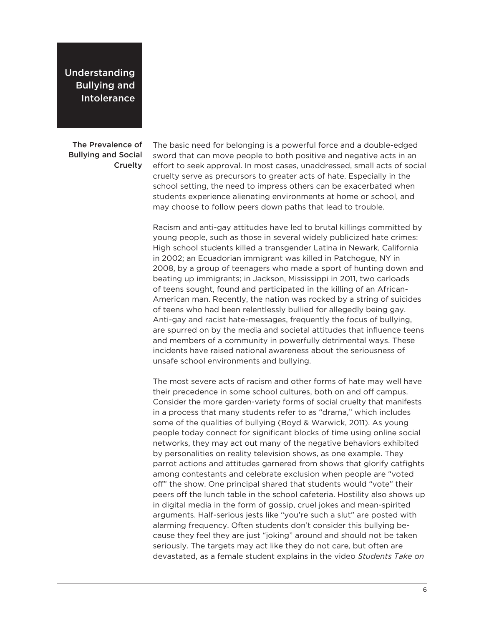Understanding Bullying and Intolerance

The Prevalence of Bullying and Social **Cruelty** 

The basic need for belonging is a powerful force and a double-edged sword that can move people to both positive and negative acts in an effort to seek approval. In most cases, unaddressed, small acts of social cruelty serve as precursors to greater acts of hate. Especially in the school setting, the need to impress others can be exacerbated when students experience alienating environments at home or school, and may choose to follow peers down paths that lead to trouble.

Racism and anti-gay attitudes have led to brutal killings committed by young people, such as those in several widely publicized hate crimes: High school students killed a transgender Latina in Newark, California in 2002; an Ecuadorian immigrant was killed in Patchogue, NY in 2008, by a group of teenagers who made a sport of hunting down and beating up immigrants; in Jackson, Mississippi in 2011, two carloads of teens sought, found and participated in the killing of an African-American man. Recently, the nation was rocked by a string of suicides of teens who had been relentlessly bullied for allegedly being gay. Anti-gay and racist hate-messages, frequently the focus of bullying, are spurred on by the media and societal attitudes that influence teens and members of a community in powerfully detrimental ways. These incidents have raised national awareness about the seriousness of unsafe school environments and bullying.

The most severe acts of racism and other forms of hate may well have their precedence in some school cultures, both on and off campus. Consider the more garden-variety forms of social cruelty that manifests in a process that many students refer to as "drama," which includes some of the qualities of bullying (Boyd & Warwick, 2011). As young people today connect for significant blocks of time using online social networks, they may act out many of the negative behaviors exhibited by personalities on reality television shows, as one example. They parrot actions and attitudes garnered from shows that glorify catfights among contestants and celebrate exclusion when people are "voted off" the show. One principal shared that students would "vote" their peers off the lunch table in the school cafeteria. Hostility also shows up in digital media in the form of gossip, cruel jokes and mean-spirited arguments. Half-serious jests like "you're such a slut" are posted with alarming frequency. Often students don't consider this bullying because they feel they are just "joking" around and should not be taken seriously. The targets may act like they do not care, but often are devastated, as a female student explains in the video *Students Take on*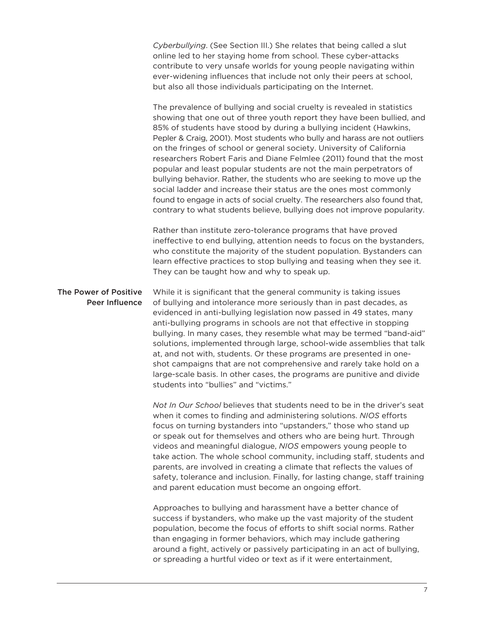*Cyberbullying*. (See Section III.) She relates that being called a slut online led to her staying home from school. These cyber-attacks contribute to very unsafe worlds for young people navigating within ever-widening influences that include not only their peers at school. but also all those individuals participating on the Internet.

The prevalence of bullying and social cruelty is revealed in statistics showing that one out of three youth report they have been bullied, and 85% of students have stood by during a bullying incident (Hawkins, Pepler & Craig, 2001). Most students who bully and harass are not outliers on the fringes of school or general society. University of California researchers Robert Faris and Diane Felmlee (2011) found that the most popular and least popular students are not the main perpetrators of bullying behavior. Rather, the students who are seeking to move up the social ladder and increase their status are the ones most commonly found to engage in acts of social cruelty. The researchers also found that, contrary to what students believe, bullying does not improve popularity.

Rather than institute zero-tolerance programs that have proved ineffective to end bullying, attention needs to focus on the bystanders, who constitute the majority of the student population. Bystanders can learn effective practices to stop bullying and teasing when they see it. They can be taught how and why to speak up.

While it is significant that the general community is taking issues of bullying and intolerance more seriously than in past decades, as evidenced in anti-bullying legislation now passed in 49 states, many anti-bullying programs in schools are not that effective in stopping bullying. In many cases, they resemble what may be termed "band-aid" solutions, implemented through large, school-wide assemblies that talk at, and not with, students. Or these programs are presented in oneshot campaigns that are not comprehensive and rarely take hold on a large-scale basis. In other cases, the programs are punitive and divide students into "bullies" and "victims." The Power of Positive Peer Influence

> *Not In Our School* believes that students need to be in the driver's seat when it comes to finding and administering solutions. N/OS efforts focus on turning bystanders into "upstanders," those who stand up or speak out for themselves and others who are being hurt. Through videos and meaningful dialogue, *NIOS* empowers young people to take action. The whole school community, including staff, students and parents, are involved in creating a climate that reflects the values of safety, tolerance and inclusion. Finally, for lasting change, staff training and parent education must become an ongoing effort.

Approaches to bullying and harassment have a better chance of success if bystanders, who make up the vast majority of the student population, become the focus of efforts to shift social norms. Rather than engaging in former behaviors, which may include gathering around a fight, actively or passively participating in an act of bullying, or spreading a hurtful video or text as if it were entertainment,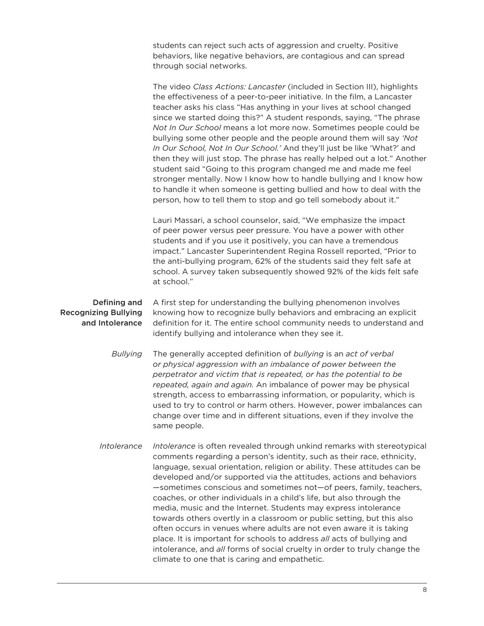students can reject such acts of aggression and cruelty. Positive behaviors, like negative behaviors, are contagious and can spread through social networks.

The video *Class Actions: Lancaster* (included in Section III), highlights the effectiveness of a peer-to-peer initiative. In the film, a Lancaster teacher asks his class "Has anything in your lives at school changed since we started doing this?" A student responds, saying, "The phrase *Not In Our School* means a lot more now. Sometimes people could be bullying some other people and the people around them will say *'Not In Our School, Not In Our School.'* And they'll just be like 'What?' and then they will just stop. The phrase has really helped out a lot." Another student said "Going to this program changed me and made me feel stronger mentally. Now I know how to handle bullying and I know how to handle it when someone is getting bullied and how to deal with the person, how to tell them to stop and go tell somebody about it."

Lauri Massari, a school counselor, said, "We emphasize the impact of peer power versus peer pressure. You have a power with other students and if you use it positively, you can have a tremendous impact." Lancaster Superintendent Regina Rossell reported, "Prior to the anti-bullying program, 62% of the students said they felt safe at school. A survey taken subsequently showed 92% of the kids felt safe at school."

A first step for understanding the bullying phenomenon involves knowing how to recognize bully behaviors and embracing an explicit definition for it. The entire school community needs to understand and identify bullying and intolerance when they see it. Defining and Recognizing Bullying and Intolerance

> The generally accepted definition of *bullying* is an *act of verbal or physical aggression with an imbalance of power between the perpetrator and victim that is repeated, or has the potential to be repeated, again and again.* An imbalance of power may be physical strength, access to embarrassing information, or popularity, which is used to try to control or harm others. However, power imbalances can change over time and in different situations, even if they involve the same people. *Bullying*

*Intolerance* is often revealed through unkind remarks with stereotypical comments regarding a person's identity, such as their race, ethnicity, language, sexual orientation, religion or ability. These attitudes can be developed and/or supported via the attitudes, actions and behaviors —sometimes conscious and sometimes not—of peers, family, teachers, coaches, or other individuals in a child's life, but also through the media, music and the Internet. Students may express intolerance towards others overtly in a classroom or public setting, but this also often occurs in venues where adults are not even aware it is taking place. It is important for schools to address *all* acts of bullying and intolerance, and *all* forms of social cruelty in order to truly change the climate to one that is caring and empathetic. *Intolerance*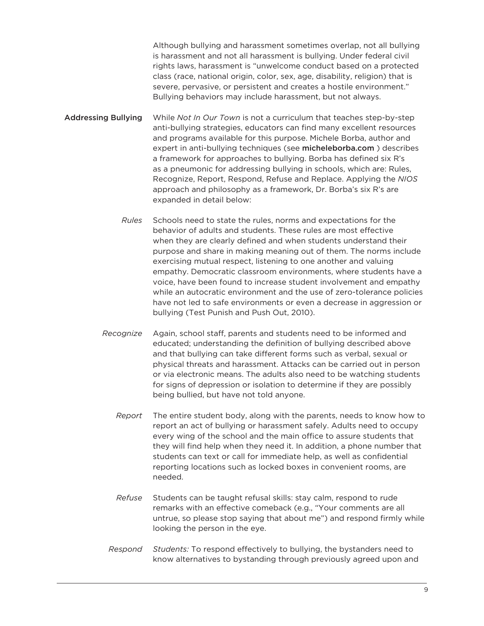Although bullying and harassment sometimes overlap, not all bullying is harassment and not all harassment is bullying. Under federal civil rights laws, harassment is "unwelcome conduct based on a protected class (race, national origin, color, sex, age, disability, religion) that is severe, pervasive, or persistent and creates a hostile environment." Bullying behaviors may include harassment, but not always.

- While *Not In Our Town* is not a curriculum that teaches step-by-step anti-bullying strategies, educators can find many excellent resources and programs available for this purpose. Michele Borba, author and expert in anti-bullying techniques (see micheleborba.com ) describes a framework for approaches to bullying. Borba has defined six R's as a pneumonic for addressing bullying in schools, which are: Rules, Recognize, Report, Respond, Refuse and Replace. Applying the *NIOS* approach and philosophy as a framework, Dr. Borba's six R's are expanded in detail below: Addressing Bullying
	- Schools need to state the rules, norms and expectations for the behavior of adults and students. These rules are most effective when they are clearly defined and when students understand their purpose and share in making meaning out of them. The norms include exercising mutual respect, listening to one another and valuing empathy. Democratic classroom environments, where students have a voice, have been found to increase student involvement and empathy while an autocratic environment and the use of zero-tolerance policies have not led to safe environments or even a decrease in aggression or bullying (Test Punish and Push Out, 2010). *Rules*
	- Again, school staff, parents and students need to be informed and educated; understanding the definition of bullying described above and that bullying can take different forms such as verbal, sexual or physical threats and harassment. Attacks can be carried out in person or via electronic means. The adults also need to be watching students for signs of depression or isolation to determine if they are possibly being bullied, but have not told anyone. *Recognize*
		- The entire student body, along with the parents, needs to know how to report an act of bullying or harassment safely. Adults need to occupy every wing of the school and the main office to assure students that they will find help when they need it. In addition, a phone number that students can text or call for immediate help, as well as confidential reporting locations such as locked boxes in convenient rooms, are needed. *Report*
		- Students can be taught refusal skills: stay calm, respond to rude remarks with an effective comeback (e.g., "Your comments are all untrue, so please stop saying that about me") and respond firmly while looking the person in the eye. *Refuse*
		- *Students:* To respond effectively to bullying, the bystanders need to know alternatives to bystanding through previously agreed upon and *Respond*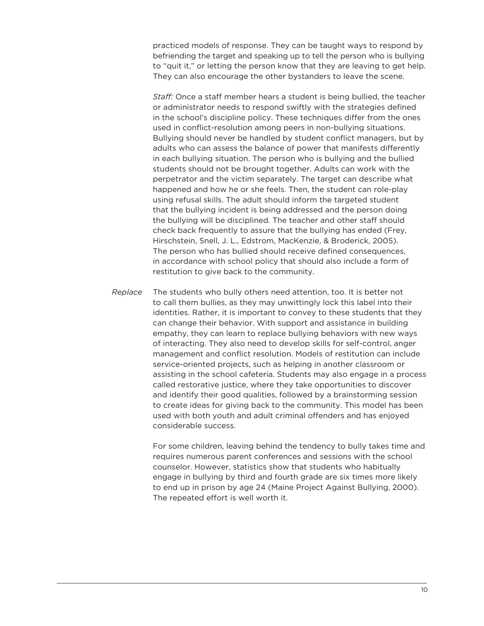practiced models of response. They can be taught ways to respond by befriending the target and speaking up to tell the person who is bullying to "quit it," or letting the person know that they are leaving to get help. They can also encourage the other bystanders to leave the scene.

*Staff:* Once a staff member hears a student is being bullied, the teacher or administrator needs to respond swiftly with the strategies defined in the school's discipline policy. These techniques differ from the ones used in conflict-resolution among peers in non-bullying situations. Bullying should never be handled by student conflict managers, but by adults who can assess the balance of power that manifests differently in each bullying situation. The person who is bullying and the bullied students should not be brought together. Adults can work with the perpetrator and the victim separately. The target can describe what happened and how he or she feels. Then, the student can role-play using refusal skills. The adult should inform the targeted student that the bullying incident is being addressed and the person doing the bullying will be disciplined. The teacher and other staff should check back frequently to assure that the bullying has ended (Frey, Hirschstein, Snell, J. L., Edstrom, MacKenzie, & Broderick, 2005). The person who has bullied should receive defined consequences, in accordance with school policy that should also include a form of restitution to give back to the community.

The students who bully others need attention, too. It is better not to call them bullies, as they may unwittingly lock this label into their identities. Rather, it is important to convey to these students that they can change their behavior. With support and assistance in building empathy, they can learn to replace bullying behaviors with new ways of interacting. They also need to develop skills for self-control, anger management and conflict resolution. Models of restitution can include service-oriented projects, such as helping in another classroom or assisting in the school cafeteria. Students may also engage in a process called restorative justice, where they take opportunities to discover and identify their good qualities, followed by a brainstorming session to create ideas for giving back to the community. This model has been used with both youth and adult criminal offenders and has enjoyed considerable success. *Replace*

> For some children, leaving behind the tendency to bully takes time and requires numerous parent conferences and sessions with the school counselor. However, statistics show that students who habitually engage in bullying by third and fourth grade are six times more likely to end up in prison by age 24 (Maine Project Against Bullying, 2000). The repeated effort is well worth it.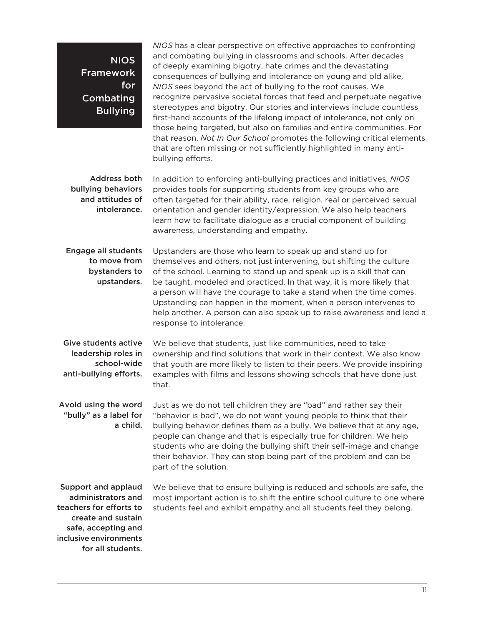NIOS Framework for **Combating Bullying** 

*NIOS* has a clear perspective on effective approaches to confronting and combating bullying in classrooms and schools. After decades of deeply examining bigotry, hate crimes and the devastating consequences of bullying and intolerance on young and old alike, *NIOS* sees beyond the act of bullying to the root causes. We recognize pervasive societal forces that feed and perpetuate negative stereotypes and bigotry. Our stories and interviews include countless first-hand accounts of the lifelong impact of intolerance, not only on those being targeted, but also on families and entire communities. For that reason, *Not In Our School* promotes the following critical elements that are often missing or not sufficiently highlighted in many antibullying efforts.

In addition to enforcing anti-bullying practices and initiatives, *NIOS* provides tools for supporting students from key groups who are often targeted for their ability, race, religion, real or perceived sexual orientation and gender identity/expression. We also help teachers learn how to facilitate dialogue as a crucial component of building awareness, understanding and empathy. Address both bullying behaviors and attitudes of intolerance.

Engage all students to move from bystanders to upstanders.

Upstanders are those who learn to speak up and stand up for themselves and others, not just intervening, but shifting the culture of the school. Learning to stand up and speak up is a skill that can be taught, modeled and practiced. In that way, it is more likely that a person will have the courage to take a stand when the time comes. Upstanding can happen in the moment, when a person intervenes to help another. A person can also speak up to raise awareness and lead a response to intolerance.

Give students active leadership roles in school-wide anti-bullying efforts.

We believe that students, just like communities, need to take ownership and find solutions that work in their context. We also know that youth are more likely to listen to their peers. We provide inspiring examples with films and lessons showing schools that have done just that.

Just as we do not tell children they are "bad" and rather say their "behavior is bad", we do not want young people to think that their bullying behavior defines them as a bully. We believe that at any age, people can change and that is especially true for children. We help students who are doing the bullying shift their self-image and change their behavior. They can stop being part of the problem and can be part of the solution. Avoid using the word "bully" as a label for a child.

Support and applaud administrators and teachers for efforts to create and sustain safe, accepting and inclusive environments for all students.

We believe that to ensure bullying is reduced and schools are safe, the most important action is to shift the entire school culture to one where students feel and exhibit empathy and all students feel they belong.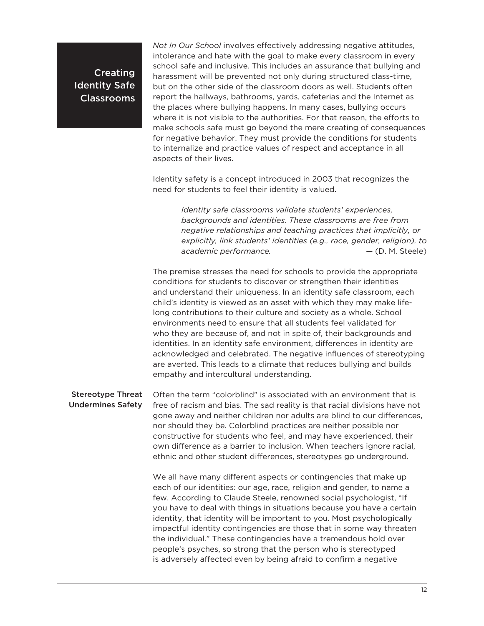Creating Identity Safe Classrooms

*Not In Our School* involves effectively addressing negative attitudes, intolerance and hate with the goal to make every classroom in every school safe and inclusive. This includes an assurance that bullying and harassment will be prevented not only during structured class-time, but on the other side of the classroom doors as well. Students often report the hallways, bathrooms, yards, cafeterias and the Internet as the places where bullying happens. In many cases, bullying occurs where it is not visible to the authorities. For that reason, the efforts to make schools safe must go beyond the mere creating of consequences for negative behavior. They must provide the conditions for students to internalize and practice values of respect and acceptance in all aspects of their lives.

Identity safety is a concept introduced in 2003 that recognizes the need for students to feel their identity is valued.

> *Identity safe classrooms validate students' experiences, backgrounds and identities. These classrooms are free from negative relationships and teaching practices that implicitly, or explicitly, link students' identities (e.g., race, gender, religion), to academic performance.* — (D. M. Steele)

The premise stresses the need for schools to provide the appropriate conditions for students to discover or strengthen their identities and understand their uniqueness. In an identity safe classroom, each child's identity is viewed as an asset with which they may make lifelong contributions to their culture and society as a whole. School environments need to ensure that all students feel validated for who they are because of, and not in spite of, their backgrounds and identities. In an identity safe environment, differences in identity are acknowledged and celebrated. The negative influences of stereotyping are averted. This leads to a climate that reduces bullying and builds empathy and intercultural understanding.

Often the term "colorblind" is associated with an environment that is free of racism and bias. The sad reality is that racial divisions have not gone away and neither children nor adults are blind to our differences, nor should they be. Colorblind practices are neither possible nor constructive for students who feel, and may have experienced, their own difference as a barrier to inclusion. When teachers ignore racial, ethnic and other student differences, stereotypes go underground. Stereotype Threat Undermines Safety

> We all have many different aspects or contingencies that make up each of our identities: our age, race, religion and gender, to name a few. According to Claude Steele, renowned social psychologist, "If you have to deal with things in situations because you have a certain identity, that identity will be important to you. Most psychologically impactful identity contingencies are those that in some way threaten the individual." These contingencies have a tremendous hold over people's psyches, so strong that the person who is stereotyped is adversely affected even by being afraid to confirm a negative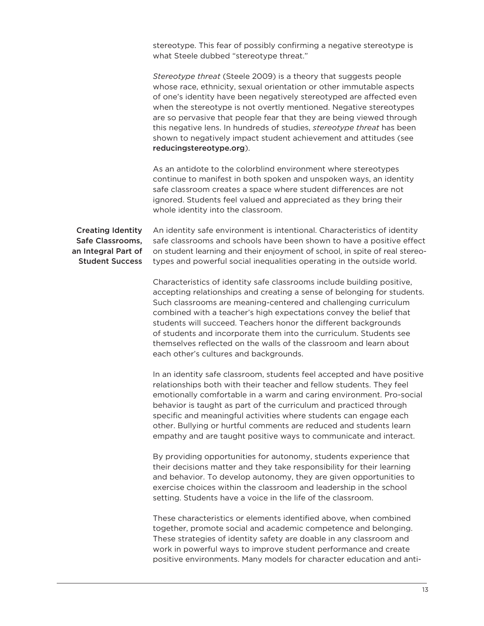stereotype. This fear of possibly confirming a negative stereotype is what Steele dubbed "stereotype threat."

*Stereotype threat* (Steele 2009) is a theory that suggests people whose race, ethnicity, sexual orientation or other immutable aspects of one's identity have been negatively stereotyped are affected even when the stereotype is not overtly mentioned. Negative stereotypes are so pervasive that people fear that they are being viewed through this negative lens. In hundreds of studies, *stereotype threat* has been shown to negatively impact student achievement and attitudes (see reducingstereotype.org).

As an antidote to the colorblind environment where stereotypes continue to manifest in both spoken and unspoken ways, an identity safe classroom creates a space where student differences are not ignored. Students feel valued and appreciated as they bring their whole identity into the classroom.

#### Creating Identity Safe Classrooms, an Integral Part of Student Success

An identity safe environment is intentional. Characteristics of identity safe classrooms and schools have been shown to have a positive effect on student learning and their enjoyment of school, in spite of real stereotypes and powerful social inequalities operating in the outside world.

Characteristics of identity safe classrooms include building positive, accepting relationships and creating a sense of belonging for students. Such classrooms are meaning-centered and challenging curriculum combined with a teacher's high expectations convey the belief that students will succeed. Teachers honor the different backgrounds of students and incorporate them into the curriculum. Students see themselves reflected on the walls of the classroom and learn about each other's cultures and backgrounds.

In an identity safe classroom, students feel accepted and have positive relationships both with their teacher and fellow students. They feel emotionally comfortable in a warm and caring environment. Pro-social behavior is taught as part of the curriculum and practiced through specific and meaningful activities where students can engage each other. Bullying or hurtful comments are reduced and students learn empathy and are taught positive ways to communicate and interact.

By providing opportunities for autonomy, students experience that their decisions matter and they take responsibility for their learning and behavior. To develop autonomy, they are given opportunities to exercise choices within the classroom and leadership in the school setting. Students have a voice in the life of the classroom.

These characteristics or elements identified above, when combined together, promote social and academic competence and belonging. These strategies of identity safety are doable in any classroom and work in powerful ways to improve student performance and create positive environments. Many models for character education and anti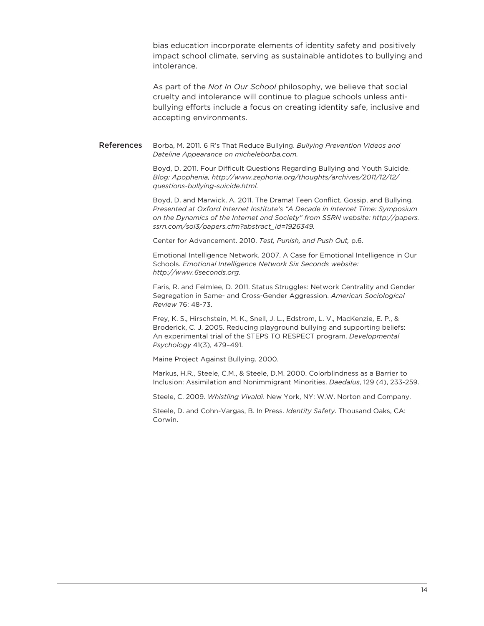bias education incorporate elements of identity safety and positively impact school climate, serving as sustainable antidotes to bullying and intolerance.

As part of the *Not In Our School* philosophy, we believe that social cruelty and intolerance will continue to plague schools unless antibullying efforts include a focus on creating identity safe, inclusive and accepting environments.

Borba, M. 2011. 6 R's That Reduce Bullying. *Bullying Prevention Videos and Dateline Appearance on micheleborba.com.*  References

> Boyd, D. 2011. Four Difficult Questions Regarding Bullying and Youth Suicide. *Blog: Apophenia, http://www.zephoria.org/thoughts/archives/2011/12/12/ guestions-bullying-suicide.html.*

Boyd, D. and Marwick, A. 2011. The Drama! Teen Conflict, Gossip, and Bullying. *Presented at Oxford Internet Institute's "A Decade in Internet Time: Symposium on the Dynamics of the Internet and Society" from SSRN website: http://papers. ssrn.com/sol3/papers.cfm?abstract\_id=1926349.*

Center for Advancement. 2010. *Test, Punish, and Push Out,* p.6.

Emotional Intelligence Network. 2007. A Case for Emotional Intelligence in Our Schools*. Emotional Intelligence Network Six Seconds website: http://www.6seconds.org.*

Faris, R. and Felmlee, D. 2011. Status Struggles: Network Centrality and Gender Segregation in Same- and Cross-Gender Aggression. American Sociological *Review* 76: 48-73.

Frey, K. S., Hirschstein, M. K., Snell, J. L., Edstrom, L. V., MacKenzie, E. P., & Broderick, C. J. 2005. Reducing playground bullying and supporting beliefs: An experimental trial of the STEPS TO RESPECT program. *Developmental Psychology* 41(3), 479–491.

Maine Project Against Bullying. 2000.

Markus, H.R., Steele, C.M., & Steele, D.M. 2000. Colorblindness as a Barrier to Inclusion: Assimilation and Nonimmigrant Minorities. Daedalus, 129 (4), 233-259.

Steele, C. 2009. *Whistling Vivaldi*. New York, NY: W.W. Norton and Company.

Steele, D. and Cohn-Vargas, B. In Press. *Identity Safety*. Thousand Oaks, CA: Corwin.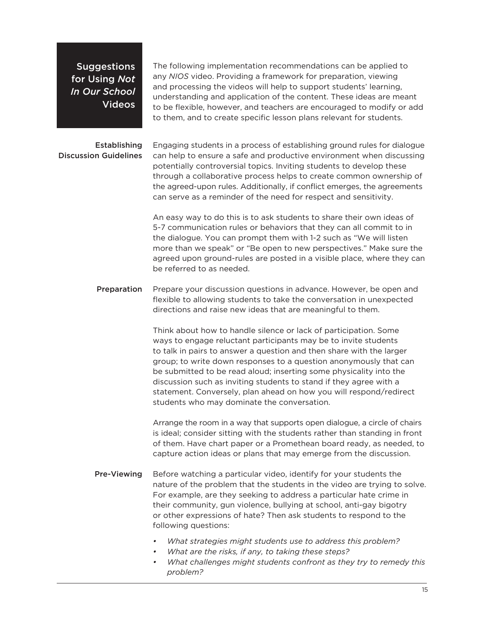**Suggestions** for Using *Not In Our School*  Videos

The following implementation recommendations can be applied to any *NIOS* video. Providing a framework for preparation, viewing and processing the videos will help to support students' learning, understanding and application of the content. These ideas are meant to be flexible, however, and teachers are encouraged to modify or add to them, and to create specific lesson plans relevant for students.

#### **Establishing** Discussion Guidelines

Engaging students in a process of establishing ground rules for dialogue can help to ensure a safe and productive environment when discussing potentially controversial topics. Inviting students to develop these through a collaborative process helps to create common ownership of the agreed-upon rules. Additionally, if conflict emerges, the agreements can serve as a reminder of the need for respect and sensitivity.

An easy way to do this is to ask students to share their own ideas of 57 communication rules or behaviors that they can all commit to in the dialogue. You can prompt them with 12 such as "We will listen more than we speak" or "Be open to new perspectives." Make sure the agreed upon ground-rules are posted in a visible place, where they can be referred to as needed.

Prepare your discussion questions in advance. However, be open and flexible to allowing students to take the conversation in unexpected directions and raise new ideas that are meaningful to them. Preparation

> Think about how to handle silence or lack of participation. Some ways to engage reluctant participants may be to invite students to talk in pairs to answer a question and then share with the larger group; to write down responses to a question anonymously that can be submitted to be read aloud; inserting some physicality into the discussion such as inviting students to stand if they agree with a statement. Conversely, plan ahead on how you will respond/redirect students who may dominate the conversation.

Arrange the room in a way that supports open dialogue, a circle of chairs is ideal; consider sitting with the students rather than standing in front of them. Have chart paper or a Promethean board ready, as needed, to capture action ideas or plans that may emerge from the discussion.

- Before watching a particular video, identify for your students the nature of the problem that the students in the video are trying to solve. For example, are they seeking to address a particular hate crime in their community, gun violence, bullying at school, anti-gay bigotry or other expressions of hate? Then ask students to respond to the following questions: Pre-Viewing
	- */ What strategies might students use to address this problem?*
	- */ What are the risks, if any, to taking these steps?*
	- */ What challenges might students confront as they try to remedy this problem?*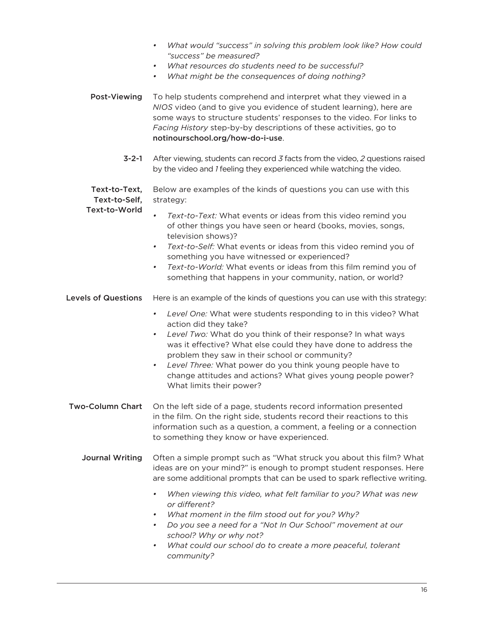| What would "success" in solving this problem look like? How could |
|-------------------------------------------------------------------|
| "success" be measured?                                            |

- */ What resources do students need to be successful?*
- */ What might be the consequences of doing nothing?*

To help students comprehend and interpret what they viewed in a *NIOS* video (and to give you evidence of student learning), here are some ways to structure students' responses to the video. For links to Facing History step-by-by descriptions of these activities, go to notinourschool.org/how-do-i-use. Post-Viewing

> **3-2-1** After viewing, students can record 3 facts from the video, 2 questions raised by the video and *1* feeling they experienced while watching the video.

Below are examples of the kinds of questions you can use with this strategy: Text-to-Text. Text-to-Self,

Text-to-World

- *Text-to-Text:* What events or ideas from this video remind you of other things you have seen or heard (books, movies, songs, television shows)?
	- *Text-to-Self:* What events or ideas from this video remind you of something you have witnessed or experienced?
- *Text-to-World:* What events or ideas from this film remind you of something that happens in your community, nation, or world?

Here is an example of the kinds of questions you can use with this strategy: Levels of Questions

- */ Level One:* What were students responding to in this video? What action did they take?
- */ Level Two:* What do you think of their response? In what ways was it effective? What else could they have done to address the problem they saw in their school or community?
- */ Level Three:* What power do you think young people have to change attitudes and actions? What gives young people power? What limits their power?
- On the left side of a page, students record information presented in the film. On the right side, students record their reactions to this information such as a question, a comment, a feeling or a connection to something they know or have experienced. **Two-Column Chart** 
	- Often a simple prompt such as "What struck you about this film? What ideas are on your mind?" is enough to prompt student responses. Here are some additional prompts that can be used to spark reflective writing. Journal Writing
		- */ When viewing this video, what felt familiar to you? What was new or different?*
		- What moment in the film stood out for you? Why?
		- */ Do you see a need for a "Not In Our School" movement at our school? Why or why not?*
		- */ What could our school do to create a more peaceful, tolerant community?*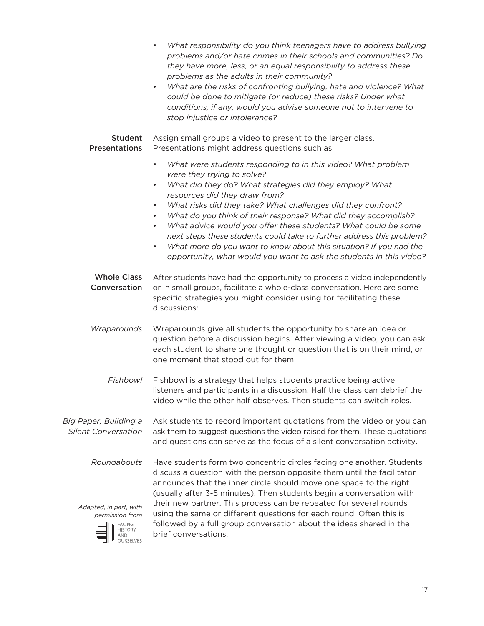|                                                                                    | What responsibility do you think teenagers have to address bullying<br>problems and/or hate crimes in their schools and communities? Do<br>they have more, less, or an equal responsibility to address these<br>problems as the adults in their community?<br>What are the risks of confronting bullying, hate and violence? What<br>$\bullet$<br>could be done to mitigate (or reduce) these risks? Under what<br>conditions, if any, would you advise someone not to intervene to<br>stop injustice or intolerance? |
|------------------------------------------------------------------------------------|-----------------------------------------------------------------------------------------------------------------------------------------------------------------------------------------------------------------------------------------------------------------------------------------------------------------------------------------------------------------------------------------------------------------------------------------------------------------------------------------------------------------------|
| <b>Student</b><br><b>Presentations</b>                                             | Assign small groups a video to present to the larger class.<br>Presentations might address questions such as:                                                                                                                                                                                                                                                                                                                                                                                                         |
|                                                                                    | What were students responding to in this video? What problem<br>$\bullet$<br>were they trying to solve?<br>What did they do? What strategies did they employ? What<br>$\bullet$<br>resources did they draw from?<br>What risks did they take? What challenges did they confront?<br>$\bullet$                                                                                                                                                                                                                         |
|                                                                                    | What do you think of their response? What did they accomplish?<br>$\bullet$<br>What advice would you offer these students? What could be some<br>$\bullet$<br>next steps these students could take to further address this problem?<br>What more do you want to know about this situation? If you had the<br>٠<br>opportunity, what would you want to ask the students in this video?                                                                                                                                 |
| <b>Whole Class</b><br>Conversation                                                 | After students have had the opportunity to process a video independently<br>or in small groups, facilitate a whole-class conversation. Here are some<br>specific strategies you might consider using for facilitating these<br>discussions:                                                                                                                                                                                                                                                                           |
| Wraparounds                                                                        | Wraparounds give all students the opportunity to share an idea or<br>question before a discussion begins. After viewing a video, you can ask<br>each student to share one thought or question that is on their mind, or<br>one moment that stood out for them.                                                                                                                                                                                                                                                        |
| Fishbowl                                                                           | Fishbowl is a strategy that helps students practice being active<br>listeners and participants in a discussion. Half the class can debrief the<br>video while the other half observes. Then students can switch roles.                                                                                                                                                                                                                                                                                                |
| Big Paper, Building a<br><b>Silent Conversation</b>                                | Ask students to record important quotations from the video or you can<br>ask them to suggest questions the video raised for them. These quotations<br>and questions can serve as the focus of a silent conversation activity.                                                                                                                                                                                                                                                                                         |
| Roundabouts                                                                        | Have students form two concentric circles facing one another. Students<br>discuss a question with the person opposite them until the facilitator<br>announces that the inner circle should move one space to the right<br>(usually after 3-5 minutes). Then students begin a conversation with                                                                                                                                                                                                                        |
| Adapted, in part, with<br>permission from<br><b>FACING</b><br>HISTORY<br>OURSELVES | their new partner. This process can be repeated for several rounds<br>using the same or different questions for each round. Often this is<br>followed by a full group conversation about the ideas shared in the<br>brief conversations.                                                                                                                                                                                                                                                                              |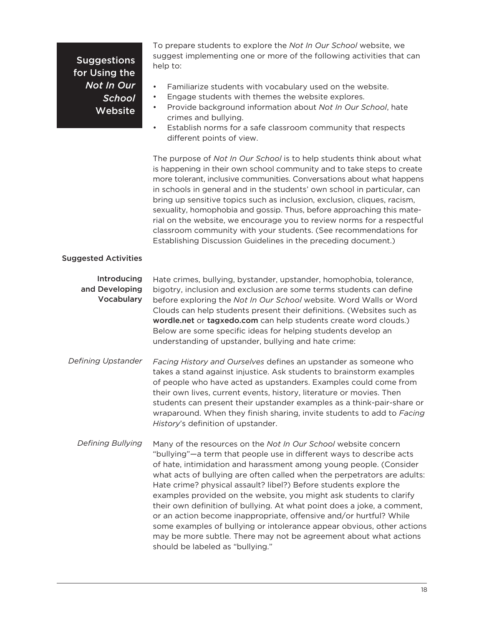## **Suggestions** for Using the *Not In Our School*  **Website**

To prepare students to explore the *Not In Our School* website, we suggest implementing one or more of the following activities that can help to:

- Familiarize students with vocabulary used on the website.
- Engage students with themes the website explores.
- Provide background information about *Not In Our School*, hate crimes and bullying.
- Establish norms for a safe classroom community that respects different points of view.

The purpose of *Not In Our School* is to help students think about what is happening in their own school community and to take steps to create more tolerant, inclusive communities. Conversations about what happens in schools in general and in the students' own school in particular, can bring up sensitive topics such as inclusion, exclusion, cliques, racism, sexuality, homophobia and gossip. Thus, before approaching this material on the website, we encourage you to review norms for a respectful classroom community with your students. (See recommendations for Establishing Discussion Guidelines in the preceding document.)

#### Suggested Activities

Hate crimes, bullying, bystander, upstander, homophobia, tolerance, bigotry, inclusion and exclusion are some terms students can define before exploring the *Not In Our School* website. Word Walls or Word Clouds can help students present their definitions. (Websites such as wordle.net or tagxedo.com can help students create word clouds.) Below are some specific ideas for helping students develop an understanding of upstander, bullying and hate crime: Introducing and Developing Vocabulary

- Facing History and Ourselves defines an upstander as someone who takes a stand against injustice. Ask students to brainstorm examples of people who have acted as upstanders. Examples could come from their own lives, current events, history, literature or movies. Then students can present their upstander examples as a think-pair-share or wraparound. When they finish sharing, invite students to add to Facing *History's* definition of upstander. *Defining Upstander* 
	- Many of the resources on the *Not In Our School* website concern "bullying"—a term that people use in different ways to describe acts of hate, intimidation and harassment among young people. (Consider what acts of bullying are often called when the perpetrators are adults: Hate crime? physical assault? libel?) Before students explore the examples provided on the website, you might ask students to clarify their own definition of bullying. At what point does a joke, a comment, or an action become inappropriate, offensive and/or hurtful? While some examples of bullying or intolerance appear obvious, other actions may be more subtle. There may not be agreement about what actions should be labeled as "bullying." *Defining Bullying*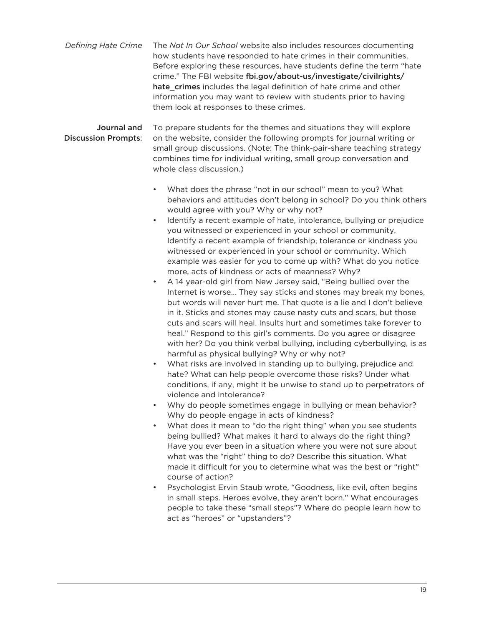The *Not In Our School* website also includes resources documenting how students have responded to hate crimes in their communities. Before exploring these resources, have students define the term "hate crime." The FBI website fbi.gov/about-us/investigate/civilrights/ hate\_crimes includes the legal definition of hate crime and other information you may want to review with students prior to having them look at responses to these crimes. *Defining Hate Crime* 

To prepare students for the themes and situations they will explore on the website, consider the following prompts for journal writing or small group discussions. (Note: The think-pair-share teaching strategy combines time for individual writing, small group conversation and whole class discussion.) Journal and Discussion Prompts:

- What does the phrase "not in our school" mean to you? What behaviors and attitudes don't belong in school? Do you think others would agree with you? Why or why not?
- Identify a recent example of hate, intolerance, bullying or prejudice you witnessed or experienced in your school or community. Identify a recent example of friendship, tolerance or kindness you witnessed or experienced in your school or community. Which example was easier for you to come up with? What do you notice more, acts of kindness or acts of meanness? Why?
- A 14 year-old girl from New Jersey said, "Being bullied over the Internet is worse… They say sticks and stones may break my bones, but words will never hurt me. That quote is a lie and I don't believe in it. Sticks and stones may cause nasty cuts and scars, but those cuts and scars will heal. Insults hurt and sometimes take forever to heal." Respond to this girl's comments. Do you agree or disagree with her? Do you think verbal bullying, including cyberbullying, is as harmful as physical bullying? Why or why not?
- What risks are involved in standing up to bullying, prejudice and hate? What can help people overcome those risks? Under what conditions, if any, might it be unwise to stand up to perpetrators of violence and intolerance?
- Why do people sometimes engage in bullying or mean behavior? Why do people engage in acts of kindness?
- What does it mean to "do the right thing" when you see students being bullied? What makes it hard to always do the right thing? Have you ever been in a situation where you were not sure about what was the "right" thing to do? Describe this situation. What made it difficult for you to determine what was the best or "right" course of action?
- Psychologist Ervin Staub wrote, "Goodness, like evil, often begins in small steps. Heroes evolve, they aren't born." What encourages people to take these "small steps"? Where do people learn how to act as "heroes" or "upstanders"?